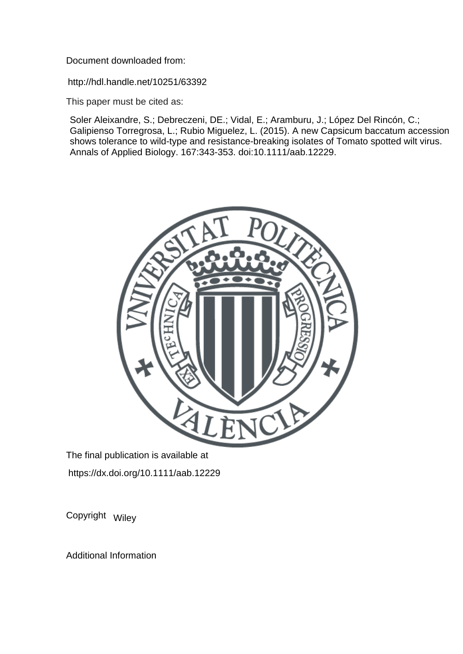Document downloaded from:

http://hdl.handle.net/10251/63392

This paper must be cited as:

Soler Aleixandre, S.; Debreczeni, DE.; Vidal, E.; Aramburu, J.; López Del Rincón, C.; Galipienso Torregrosa, L.; Rubio Miguelez, L. (2015). A new Capsicum baccatum accession shows tolerance to wild-type and resistance-breaking isolates of Tomato spotted wilt virus. Annals of Applied Biology. 167:343-353. doi:10.1111/aab.12229.



The final publication is available at https://dx.doi.org/10.1111/aab.12229

Copyright Wiley

Additional Information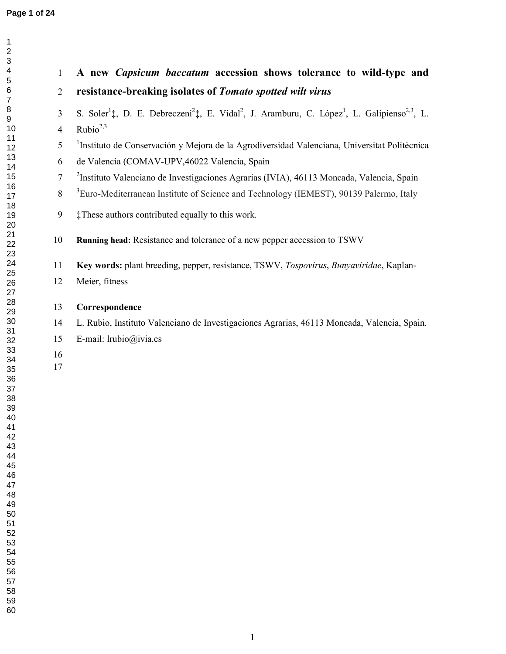| $\overline{2}$ | resistance-breaking isolates of Tomato spotted wilt virus                                                                                                |
|----------------|----------------------------------------------------------------------------------------------------------------------------------------------------------|
|                |                                                                                                                                                          |
| 3              | S. Soler <sup>1</sup> ‡, D. E. Debreczeni <sup>2</sup> ‡, E. Vidal <sup>2</sup> , J. Aramburu, C. López <sup>1</sup> , L. Galipienso <sup>2,3</sup> , L. |
| $\overline{4}$ | Rubio $^{2,3}$                                                                                                                                           |
| 5              | <sup>1</sup> Instituto de Conservación y Mejora de la Agrodiversidad Valenciana, Universitat Politècnica                                                 |
| 6              | de Valencia (COMAV-UPV,46022 Valencia, Spain                                                                                                             |
| $\overline{7}$ | <sup>2</sup> Instituto Valenciano de Investigaciones Agrarias (IVIA), 46113 Moncada, Valencia, Spain                                                     |
| $8\,$          | <sup>3</sup> Euro-Mediterranean Institute of Science and Technology (IEMEST), 90139 Palermo, Italy                                                       |
| 9              | #These authors contributed equally to this work.                                                                                                         |
| 10             | Running head: Resistance and tolerance of a new pepper accession to TSWV                                                                                 |
| 11             | Key words: plant breeding, pepper, resistance, TSWV, Tospovirus, Bunyaviridae, Kaplan-                                                                   |
| 12             | Meier, fitness                                                                                                                                           |
| 13             | Correspondence                                                                                                                                           |
| 14             | L. Rubio, Instituto Valenciano de Investigaciones Agrarias, 46113 Moncada, Valencia, Spain.                                                              |
| 15             | E-mail: lrubio@ivia.es                                                                                                                                   |
| 16             |                                                                                                                                                          |
| 17             |                                                                                                                                                          |
|                |                                                                                                                                                          |
|                |                                                                                                                                                          |
|                |                                                                                                                                                          |
|                |                                                                                                                                                          |
|                |                                                                                                                                                          |
|                |                                                                                                                                                          |
|                |                                                                                                                                                          |
|                |                                                                                                                                                          |
|                |                                                                                                                                                          |
|                |                                                                                                                                                          |
|                |                                                                                                                                                          |
|                |                                                                                                                                                          |
|                |                                                                                                                                                          |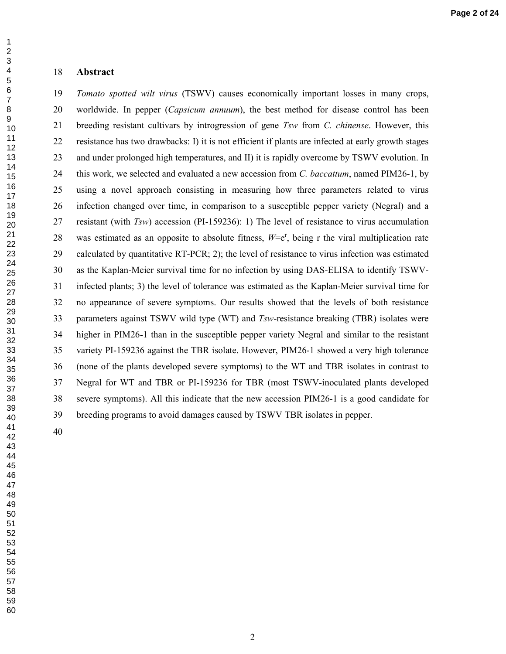#### **Abstract**

*Tomato spotted wilt virus* (TSWV) causes economically important losses in many crops, 20 worldwide. In pepper (*Capsicum annuum*), the best method for disease control has been 21 breeding resistant cultivars by introgression of gene *Tsw* from *C. chinense*. However, this 22 resistance has two drawbacks: I) it is not efficient if plants are infected at early growth stages 23 and under prolonged high temperatures, and II) it is rapidly overcome by TSWV evolution. In 24 this work, we selected and evaluated a new accession from *C. baccattum*, named PIM26-1, by 25 using a novel approach consisting in measuring how three parameters related to virus 26 infection changed over time, in comparison to a susceptible pepper variety (Negral) and a 27 resistant (with *Tsw*) accession (PI-159236): 1) The level of resistance to virus accumulation 28 was estimated as an opposite to absolute fitness,  $W = e^r$ , being r the viral multiplication rate 29 calculated by quantitative RT-PCR; 2); the level of resistance to virus infection was estimated 30 as the Kaplan-Meier survival time for no infection by using DAS-ELISA to identify TSWV-31 infected plants; 3) the level of tolerance was estimated as the Kaplan-Meier survival time for 32 no appearance of severe symptoms. Our results showed that the levels of both resistance 33 parameters against TSWV wild type (WT) and *Tsw*-resistance breaking (TBR) isolates were 34 higher in PIM26-1 than in the susceptible pepper variety Negral and similar to the resistant 35 variety PI-159236 against the TBR isolate. However, PIM26-1 showed a very high tolerance 36 (none of the plants developed severe symptoms) to the WT and TBR isolates in contrast to 37 Negral for WT and TBR or PI-159236 for TBR (most TSWV-inoculated plants developed 38 severe symptoms). All this indicate that the new accession PIM26-1 is a good candidate for 39 breeding programs to avoid damages caused by TSWV TBR isolates in pepper.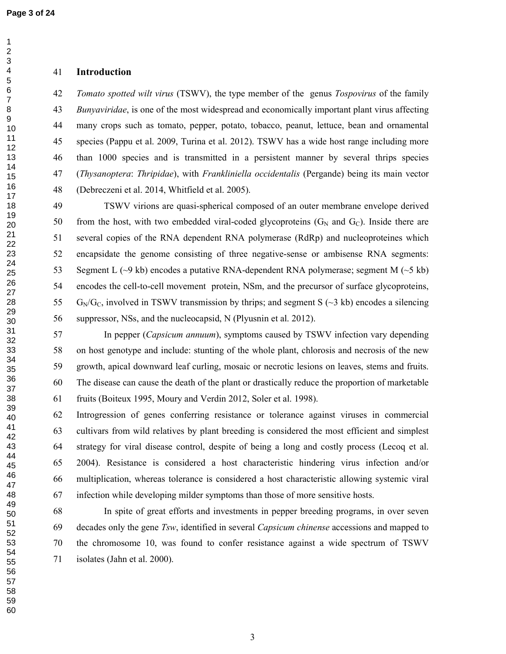#### **Introduction**

*Tomato spotted wilt virus* (TSWV), the type member of the genus *Tospovirus* of the family *Bunyaviridae*, is one of the most widespread and economically important plant virus affecting 44 many crops such as tomato, pepper, potato, tobacco, peanut, lettuce, bean and ornamental 45 species (Pappu et al. 2009, Turina et al. 2012). TSWV has a wide host range including more 46 than 1000 species and is transmitted in a persistent manner by several thrips species 47 (*Thysanoptera*: *Thripidae*), with *Frankliniella occidentalis* (Pergande) being its main vector 48 (Debreczeni et al. 2014, Whitfield et al. 2005).

49 TSWV virions are quasi-spherical composed of an outer membrane envelope derived 50 from the host, with two embedded viral-coded glycoproteins  $(G_N$  and  $G_C)$ . Inside there are 51 several copies of the RNA dependent RNA polymerase (RdRp) and nucleoproteines which 52 encapsidate the genome consisting of three negative-sense or ambisense RNA segments: 53 Segment L  $(\sim)$  kb) encodes a putative RNA-dependent RNA polymerase; segment M  $(\sim)$  kb) 54 encodes the cell-to-cell movement protein, NSm, and the precursor of surface glycoproteins, 55 G<sub>N</sub>/G<sub>C</sub>, involved in TSWV transmission by thrips; and segment S ( $\sim$ 3 kb) encodes a silencing 56 suppressor, NSs, and the nucleocapsid, N (Plyusnin et al. 2012).

57 In pepper (*Capsicum annuum*), symptoms caused by TSWV infection vary depending 58 on host genotype and include: stunting of the whole plant, chlorosis and necrosis of the new 59 growth, apical downward leaf curling, mosaic or necrotic lesions on leaves, stems and fruits. 60 The disease can cause the death of the plant or drastically reduce the proportion of marketable 61 fruits (Boiteux 1995, Moury and Verdin 2012, Soler et al. 1998).

62 Introgression of genes conferring resistance or tolerance against viruses in commercial 63 cultivars from wild relatives by plant breeding is considered the most efficient and simplest 64 strategy for viral disease control, despite of being a long and costly process (Lecoq et al. 65 2004). Resistance is considered a host characteristic hindering virus infection and/or 66 multiplication, whereas tolerance is considered a host characteristic allowing systemic viral 67 infection while developing milder symptoms than those of more sensitive hosts.

68 In spite of great efforts and investments in pepper breeding programs, in over seven 69 decades only the gene *Tsw*, identified in several *Capsicum chinense* accessions and mapped to 70 the chromosome 10, was found to confer resistance against a wide spectrum of TSWV 71 isolates (Jahn et al. 2000).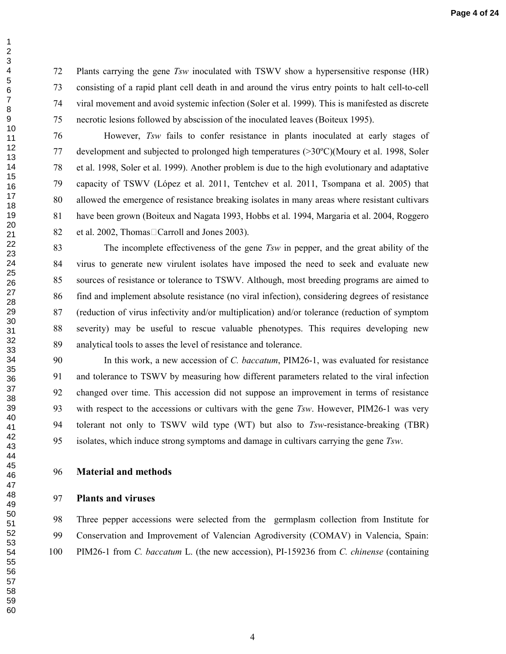72 Plants carrying the gene *Tsw* inoculated with TSWV show a hypersensitive response (HR) 73 consisting of a rapid plant cell death in and around the virus entry points to halt cell-to-cell 74 viral movement and avoid systemic infection (Soler et al. 1999). This is manifested as discrete 75 necrotic lesions followed by abscission of the inoculated leaves (Boiteux 1995).

76 However, *Tsw* fails to confer resistance in plants inoculated at early stages of 77 development and subjected to prolonged high temperatures (>30ºC)(Moury et al. 1998, Soler 78 et al. 1998, Soler et al. 1999). Another problem is due to the high evolutionary and adaptative 79 capacity of TSWV (López et al. 2011, Tentchev et al. 2011, Tsompana et al. 2005) that 80 allowed the emergence of resistance breaking isolates in many areas where resistant cultivars 81 have been grown (Boiteux and Nagata 1993, Hobbs et al. 1994, Margaria et al. 2004, Roggero 82 et al. 2002, Thomas $\Box$ Carroll and Jones 2003).

83 The incomplete effectiveness of the gene *Tsw* in pepper, and the great ability of the 84 virus to generate new virulent isolates have imposed the need to seek and evaluate new 85 sources of resistance or tolerance to TSWV. Although, most breeding programs are aimed to 86 find and implement absolute resistance (no viral infection), considering degrees of resistance 87 (reduction of virus infectivity and/or multiplication) and/or tolerance (reduction of symptom 88 severity) may be useful to rescue valuable phenotypes. This requires developing new 89 analytical tools to asses the level of resistance and tolerance.

90 In this work, a new accession of *C. baccatum*, PIM26-1, was evaluated for resistance 91 and tolerance to TSWV by measuring how different parameters related to the viral infection 92 changed over time. This accession did not suppose an improvement in terms of resistance 93 with respect to the accessions or cultivars with the gene *Tsw*. However, PIM26-1 was very 94 tolerant not only to TSWV wild type (WT) but also to *Tsw*-resistance-breaking (TBR) 95 isolates, which induce strong symptoms and damage in cultivars carrying the gene *Tsw*.

#### **Material and methods**

#### **Plants and viruses**

98 Three pepper accessions were selected from the germplasm collection from Institute for 99 Conservation and Improvement of Valencian Agrodiversity (COMAV) in Valencia, Spain: 100 PIM26-1 from *C. baccatum* L. (the new accession), PI-159236 from *C. chinense* (containing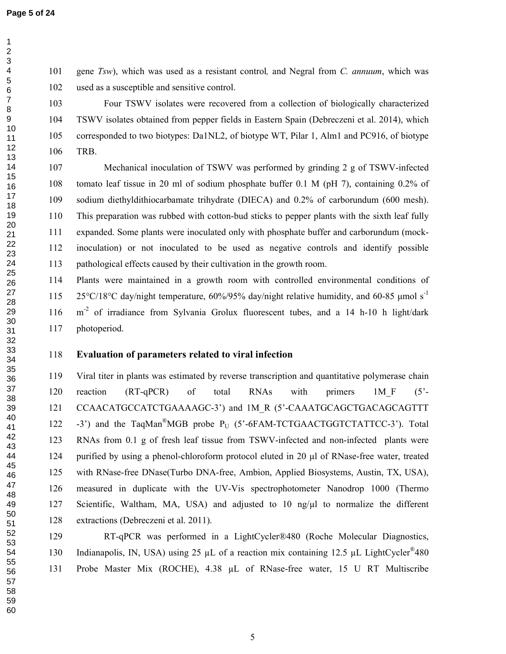101 gene *Tsw*), which was used as a resistant control*,* and Negral from *C. annuum*, which was 102 used as a susceptible and sensitive control.

103 Four TSWV isolates were recovered from a collection of biologically characterized 104 TSWV isolates obtained from pepper fields in Eastern Spain (Debreczeni et al. 2014), which 105 corresponded to two biotypes: Da1NL2, of biotype WT, Pilar 1, Alm1 and PC916, of biotype 106 TRB.

107 Mechanical inoculation of TSWV was performed by grinding 2 g of TSWV-infected 108 tomato leaf tissue in 20 ml of sodium phosphate buffer 0.1 M (pH 7), containing 0.2% of 109 sodium diethyldithiocarbamate trihydrate (DIECA) and 0.2% of carborundum (600 mesh). 110 This preparation was rubbed with cotton-bud sticks to pepper plants with the sixth leaf fully 111 expanded. Some plants were inoculated only with phosphate buffer and carborundum (mock-112 inoculation) or not inoculated to be used as negative controls and identify possible 113 pathological effects caused by their cultivation in the growth room.

114 Plants were maintained in a growth room with controlled environmental conditions of 115 25°C/18°C day/night temperature,  $60\%/95\%$  day/night relative humidity, and 60-85 µmol s<sup>-1</sup> 116 m<sup>-2</sup> of irradiance from Sylvania Grolux fluorescent tubes, and a 14 h-10 h light/dark 117 photoperiod.

#### **Evaluation of parameters related to viral infection**

119 Viral titer in plants was estimated by reverse transcription and quantitative polymerase chain 120 reaction (RT-qPCR) of total RNAs with primers 1M\_F (5'- 121 CCAACATGCCATCTGAAAAGC-3') and 1M R (5'-CAAATGCAGCTGACAGCAGTTT 122 -3') and the TaqMan<sup>®</sup>MGB probe  $P_U$  (5'-6FAM-TCTGAACTGGTCTATTCC-3'). Total 123 RNAs from 0.1 g of fresh leaf tissue from TSWV-infected and non-infected plants were 124 purified by using a phenol-chloroform protocol eluted in 20 µl of RNase-free water, treated 125 with RNase-free DNase(Turbo DNA-free, Ambion, Applied Biosystems, Austin, TX, USA), 126 measured in duplicate with the UV-Vis spectrophotometer Nanodrop 1000 (Thermo 127 Scientific, Waltham, MA, USA) and adjusted to 10 ng/ $\mu$ l to normalize the different 128 extractions (Debreczeni et al. 2011).

129 RT-qPCR was performed in a LightCycler®480 (Roche Molecular Diagnostics, 130 Indianapolis, IN, USA) using 25  $\mu$ L of a reaction mix containing 12.5  $\mu$ L LightCycler<sup>®</sup>480 131 Probe Master Mix (ROCHE), 4.38 µL of RNase-free water, 15 U RT Multiscribe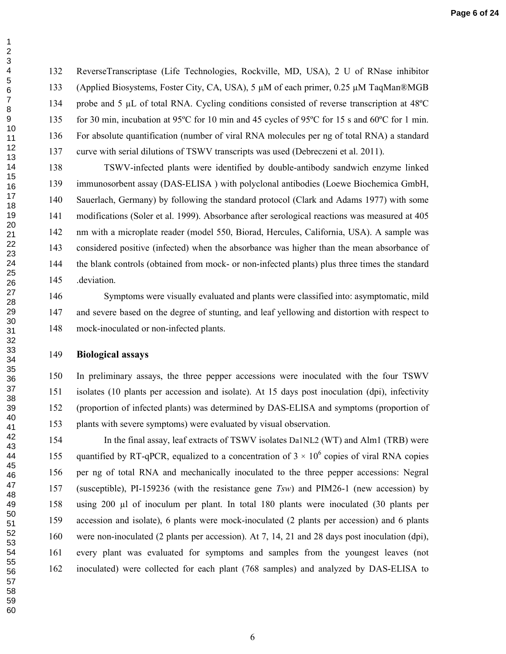132 ReverseTranscriptase (Life Technologies, Rockville, MD, USA), 2 U of RNase inhibitor 133 (Applied Biosystems, Foster City, CA, USA), 5 µM of each primer, 0.25 µM TaqMan®MGB 134 probe and 5 µL of total RNA. Cycling conditions consisted of reverse transcription at 48°C 135 for 30 min, incubation at 95ºC for 10 min and 45 cycles of 95ºC for 15 s and 60ºC for 1 min. 136 For absolute quantification (number of viral RNA molecules per ng of total RNA) a standard 137 curve with serial dilutions of TSWV transcripts was used (Debreczeni et al. 2011).

138 TSWV-infected plants were identified by double-antibody sandwich enzyme linked 139 immunosorbent assay (DAS-ELISA ) with polyclonal antibodies (Loewe Biochemica GmbH, 140 Sauerlach, Germany) by following the standard protocol (Clark and Adams 1977) with some 141 modifications (Soler et al. 1999). Absorbance after serological reactions was measured at 405 142 nm with a microplate reader (model 550, Biorad, Hercules, California, USA). A sample was 143 considered positive (infected) when the absorbance was higher than the mean absorbance of 144 the blank controls (obtained from mock- or non-infected plants) plus three times the standard 145 .deviation.

146 Symptoms were visually evaluated and plants were classified into: asymptomatic, mild 147 and severe based on the degree of stunting, and leaf yellowing and distortion with respect to 148 mock-inoculated or non-infected plants.

### **Biological assays**

150 In preliminary assays, the three pepper accessions were inoculated with the four TSWV 151 isolates (10 plants per accession and isolate). At 15 days post inoculation (dpi), infectivity 152 (proportion of infected plants) was determined by DAS-ELISA and symptoms (proportion of 153 plants with severe symptoms) were evaluated by visual observation.

154 In the final assay, leaf extracts of TSWV isolates Da1NL2 (WT) and Alm1 (TRB) were 155 quantified by RT-qPCR, equalized to a concentration of  $3 \times 10^6$  copies of viral RNA copies 156 per ng of total RNA and mechanically inoculated to the three pepper accessions: Negral 157 (susceptible), PI-159236 (with the resistance gene *Tsw*) and PIM26-1 (new accession) by 158 using 200 µl of inoculum per plant. In total 180 plants were inoculated (30 plants per 159 accession and isolate), 6 plants were mock-inoculated (2 plants per accession) and 6 plants 160 were non-inoculated (2 plants per accession). At 7, 14, 21 and 28 days post inoculation (dpi), 161 every plant was evaluated for symptoms and samples from the youngest leaves (not 162 inoculated) were collected for each plant (768 samples) and analyzed by DAS-ELISA to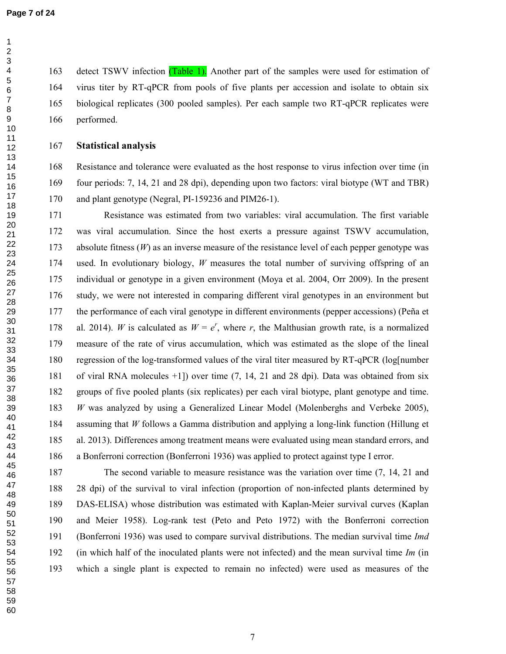163 detect TSWV infection (Table 1). Another part of the samples were used for estimation of 164 virus titer by RT-qPCR from pools of five plants per accession and isolate to obtain six 165 biological replicates (300 pooled samples). Per each sample two RT-qPCR replicates were 166 performed.

#### **Statistical analysis**

168 Resistance and tolerance were evaluated as the host response to virus infection over time (in 169 four periods: 7, 14, 21 and 28 dpi), depending upon two factors: viral biotype (WT and TBR) 170 and plant genotype (Negral, PI-159236 and PIM26-1).

171 Resistance was estimated from two variables: viral accumulation. The first variable 172 was viral accumulation. Since the host exerts a pressure against TSWV accumulation, 173 absolute fitness (*W*) as an inverse measure of the resistance level of each pepper genotype was 174 used. In evolutionary biology, *W* measures the total number of surviving offspring of an 175 individual or genotype in a given environment (Moya et al. 2004, Orr 2009). In the present 176 study, we were not interested in comparing different viral genotypes in an environment but 177 the performance of each viral genotype in different environments (pepper accessions) (Peña et 178 al. 2014). *W* is calculated as  $W = e^r$ , where *r*, the Malthusian growth rate, is a normalized 179 measure of the rate of virus accumulation, which was estimated as the slope of the lineal 180 regression of the log-transformed values of the viral titer measured by RT-qPCR (log[number 181 of viral RNA molecules +1]) over time (7, 14, 21 and 28 dpi). Data was obtained from six 182 groups of five pooled plants (six replicates) per each viral biotype, plant genotype and time. *W* was analyzed by using a Generalized Linear Model (Molenberghs and Verbeke 2005), 184 assuming that *W* follows a Gamma distribution and applying a long-link function (Hillung et 185 al. 2013). Differences among treatment means were evaluated using mean standard errors, and 186 a Bonferroni correction (Bonferroni 1936) was applied to protect against type I error.

187 The second variable to measure resistance was the variation over time (7, 14, 21 and 188 28 dpi) of the survival to viral infection (proportion of non-infected plants determined by 189 DAS-ELISA) whose distribution was estimated with Kaplan-Meier survival curves (Kaplan 190 and Meier 1958). Log-rank test (Peto and Peto 1972) with the Bonferroni correction 191 (Bonferroni 1936) was used to compare survival distributions. The median survival time *Imd* 192 (in which half of the inoculated plants were not infected) and the mean survival time *Im* (in 193 which a single plant is expected to remain no infected) were used as measures of the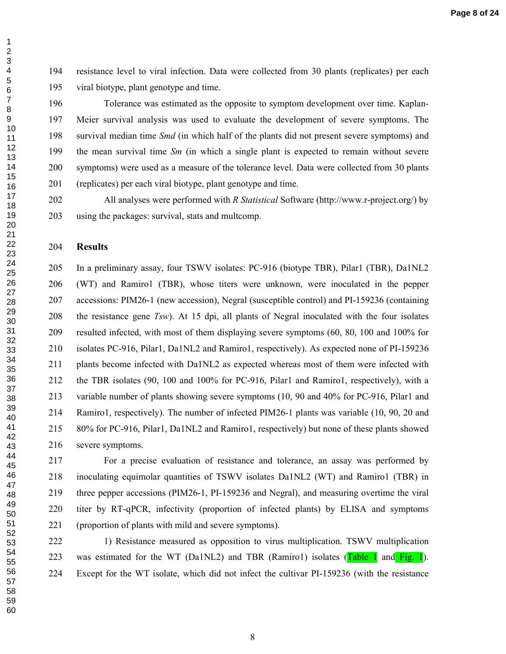194 resistance level to viral infection. Data were collected from 30 plants (replicates) per each 195 viral biotype, plant genotype and time.

196 Tolerance was estimated as the opposite to symptom development over time. Kaplan-197 Meier survival analysis was used to evaluate the development of severe symptoms. The 198 survival median time *Smd* (in which half of the plants did not present severe symptoms) and 199 the mean survival time *Sm* (in which a single plant is expected to remain without severe 200 symptoms) were used as a measure of the tolerance level. Data were collected from 30 plants 201 (replicates) per each viral biotype, plant genotype and time.

202 All analyses were performed with *R Statistical* Software (http://www.r-project.org/) by 203 using the packages: survival, stats and multcomp.

#### **Results**

205 In a preliminary assay, four TSWV isolates: PC-916 (biotype TBR), Pilar1 (TBR), Da1NL2 206 (WT) and Ramiro1 (TBR), whose titers were unknown, were inoculated in the pepper 207 accessions: PIM26-1 (new accession), Negral (susceptible control) and PI-159236 (containing 208 the resistance gene *Tsw*). At 15 dpi, all plants of Negral inoculated with the four isolates 209 resulted infected, with most of them displaying severe symptoms (60, 80, 100 and 100% for 210 isolates PC-916, Pilar1, Da1NL2 and Ramiro1, respectively). As expected none of PI-159236 211 plants become infected with Da1NL2 as expected whereas most of them were infected with 212 the TBR isolates (90, 100 and 100% for PC-916, Pilar1 and Ramiro1, respectively), with a 213 variable number of plants showing severe symptoms (10, 90 and 40% for PC-916, Pilar1 and 214 Ramiro1, respectively). The number of infected PIM26-1 plants was variable (10, 90, 20 and 215 80% for PC-916, Pilar1, Da1NL2 and Ramiro1, respectively) but none of these plants showed 216 severe symptoms.

217 For a precise evaluation of resistance and tolerance, an assay was performed by 218 inoculating equimolar quantities of TSWV isolates Da1NL2 (WT) and Ramiro1 (TBR) in 219 three pepper accessions (PIM26-1, PI-159236 and Negral), and measuring overtime the viral 220 titer by RT-qPCR, infectivity (proportion of infected plants) by ELISA and symptoms 221 (proportion of plants with mild and severe symptoms).

222 1) Resistance measured as opposition to virus multiplication. TSWV multiplication 223 was estimated for the WT (Da1NL2) and TBR (Ramiro1) isolates (Table 1 and Fig. 1). 224 Except for the WT isolate, which did not infect the cultivar PI-159236 (with the resistance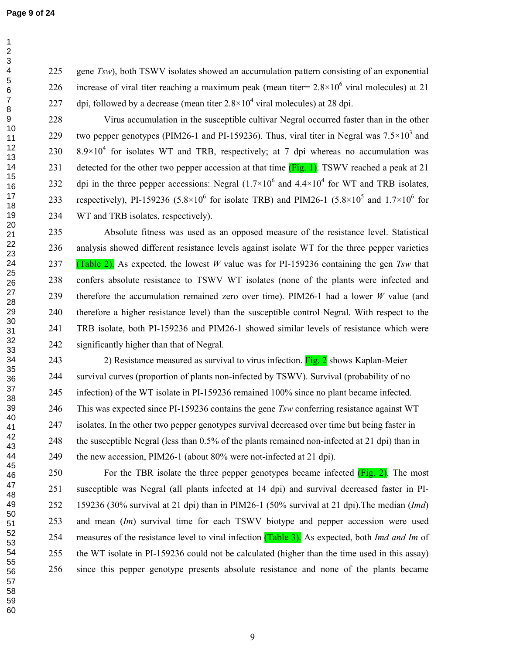225 gene *Tsw*), both TSWV isolates showed an accumulation pattern consisting of an exponential 226 increase of viral titer reaching a maximum peak (mean titer=  $2.8 \times 10^6$  viral molecules) at 21 227 dpi, followed by a decrease (mean titer  $2.8 \times 10^4$  viral molecules) at 28 dpi.

228 Virus accumulation in the susceptible cultivar Negral occurred faster than in the other 229 two pepper genotypes (PIM26-1 and PI-159236). Thus, viral titer in Negral was  $7.5 \times 10^3$  and 230  $8.9\times10^4$  for isolates WT and TRB, respectively; at 7 dpi whereas no accumulation was 231 detected for the other two pepper accession at that time (Fig. 1). TSWV reached a peak at 21 232 dpi in the three pepper accessions: Negral  $(1.7 \times 10^6$  and  $4.4 \times 10^4$  for WT and TRB isolates, 233 respectively), PI-159236 (5.8×10<sup>6</sup> for isolate TRB) and PIM26-1 (5.8×10<sup>5</sup> and 1.7×10<sup>6</sup> for 234 WT and TRB isolates, respectively).

235 Absolute fitness was used as an opposed measure of the resistance level. Statistical 236 analysis showed different resistance levels against isolate WT for the three pepper varieties 237 (Table 2). As expected, the lowest *W* value was for PI-159236 containing the gen *Tsw* that 238 confers absolute resistance to TSWV WT isolates (none of the plants were infected and 239 therefore the accumulation remained zero over time). PIM26-1 had a lower *W* value (and 240 therefore a higher resistance level) than the susceptible control Negral. With respect to the 241 TRB isolate, both PI-159236 and PIM26-1 showed similar levels of resistance which were 242 significantly higher than that of Negral.

243 20 Resistance measured as survival to virus infection. Fig. 2 shows Kaplan-Meier 244 survival curves (proportion of plants non-infected by TSWV). Survival (probability of no 245 infection) of the WT isolate in PI-159236 remained 100% since no plant became infected. 246 This was expected since PI-159236 contains the gene *Tsw* conferring resistance against WT 247 isolates. In the other two pepper genotypes survival decreased over time but being faster in 248 the susceptible Negral (less than 0.5% of the plants remained non-infected at 21 dpi) than in 249 the new accession, PIM26-1 (about 80% were not-infected at 21 dpi).

250 For the TBR isolate the three pepper genotypes became infected  $(Fig. 2)$ . The most 251 susceptible was Negral (all plants infected at 14 dpi) and survival decreased faster in PI-252 159236 (30% survival at 21 dpi) than in PIM26-1 (50% survival at 21 dpi).The median (*Imd*) 253 and mean (*Im*) survival time for each TSWV biotype and pepper accession were used 254 measures of the resistance level to viral infection (Table 3). As expected, both *Imd and Im* of 255 the WT isolate in PI-159236 could not be calculated (higher than the time used in this assay) 256 since this pepper genotype presents absolute resistance and none of the plants became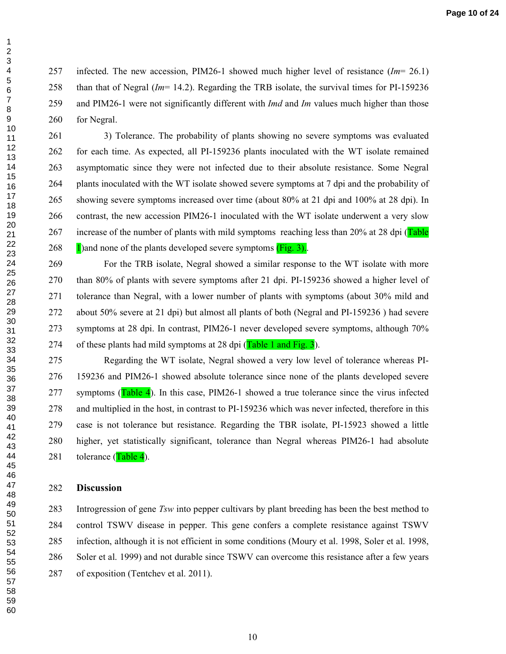257 infected. The new accession, PIM26-1 showed much higher level of resistance (*Im*= 26.1) 258 than that of Negral (*Im*= 14.2). Regarding the TRB isolate, the survival times for PI-159236 259 and PIM26-1 were not significantly different with *Imd* and *Im* values much higher than those 260 for Negral.

261 3) Tolerance. The probability of plants showing no severe symptoms was evaluated 262 for each time. As expected, all PI-159236 plants inoculated with the WT isolate remained 263 asymptomatic since they were not infected due to their absolute resistance. Some Negral 264 plants inoculated with the WT isolate showed severe symptoms at 7 dpi and the probability of 265 showing severe symptoms increased over time (about 80% at 21 dpi and 100% at 28 dpi). In 266 contrast, the new accession PIM26-1 inoculated with the WT isolate underwent a very slow 267 increase of the number of plants with mild symptoms reaching less than 20% at 28 dpi (Table 268  $\frac{1}{2}$  1) and none of the plants developed severe symptoms (Fig. 3).

269 For the TRB isolate, Negral showed a similar response to the WT isolate with more 270 than 80% of plants with severe symptoms after 21 dpi. PI-159236 showed a higher level of 271 tolerance than Negral, with a lower number of plants with symptoms (about 30% mild and 272 about 50% severe at 21 dpi) but almost all plants of both (Negral and PI-159236 ) had severe 273 symptoms at 28 dpi. In contrast, PIM26-1 never developed severe symptoms, although 70% 274 of these plants had mild symptoms at 28 dpi (Table 1 and Fig. 3).

275 Regarding the WT isolate, Negral showed a very low level of tolerance whereas PI-276 159236 and PIM26-1 showed absolute tolerance since none of the plants developed severe 277 symptoms  $(Table 4)$ . In this case, PIM26-1 showed a true tolerance since the virus infected 278 and multiplied in the host, in contrast to PI-159236 which was never infected, therefore in this 279 case is not tolerance but resistance. Regarding the TBR isolate, PI-15923 showed a little 280 higher, yet statistically significant, tolerance than Negral whereas PIM26-1 had absolute 281 tolerance  $(Table 4)$ .

#### **Discussion**

283 Introgression of gene *Tsw* into pepper cultivars by plant breeding has been the best method to 284 control TSWV disease in pepper. This gene confers a complete resistance against TSWV 285 infection, although it is not efficient in some conditions (Moury et al. 1998, Soler et al. 1998, 286 Soler et al. 1999) and not durable since TSWV can overcome this resistance after a few years 287 of exposition (Tentchev et al. 2011).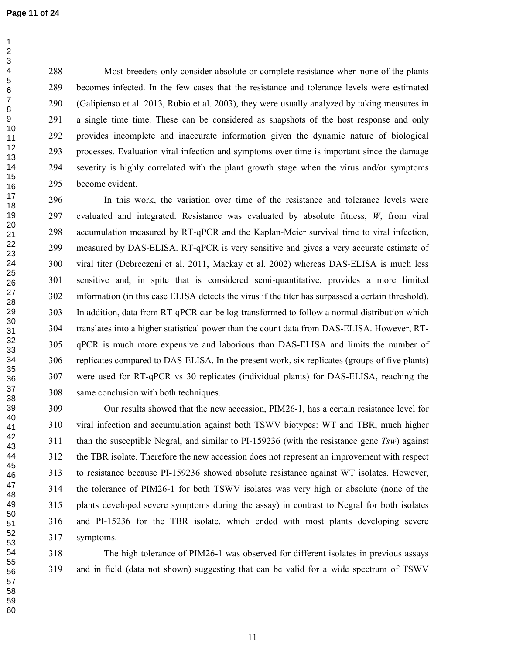295 become evident.

  288 Most breeders only consider absolute or complete resistance when none of the plants 289 becomes infected. In the few cases that the resistance and tolerance levels were estimated 290 (Galipienso et al. 2013, Rubio et al. 2003), they were usually analyzed by taking measures in 291 a single time time. These can be considered as snapshots of the host response and only 292 provides incomplete and inaccurate information given the dynamic nature of biological 293 processes. Evaluation viral infection and symptoms over time is important since the damage 294 severity is highly correlated with the plant growth stage when the virus and/or symptoms

296 In this work, the variation over time of the resistance and tolerance levels were 297 evaluated and integrated. Resistance was evaluated by absolute fitness, *W*, from viral 298 accumulation measured by RT-qPCR and the Kaplan-Meier survival time to viral infection, 299 measured by DAS-ELISA. RT-qPCR is very sensitive and gives a very accurate estimate of 300 viral titer (Debreczeni et al. 2011, Mackay et al. 2002) whereas DAS-ELISA is much less 301 sensitive and, in spite that is considered semi-quantitative, provides a more limited 302 information (in this case ELISA detects the virus if the titer has surpassed a certain threshold). 303 In addition, data from RT-qPCR can be log-transformed to follow a normal distribution which 304 translates into a higher statistical power than the count data from DAS-ELISA. However, RT-305 qPCR is much more expensive and laborious than DAS-ELISA and limits the number of 306 replicates compared to DAS-ELISA. In the present work, six replicates (groups of five plants) 307 were used for RT-qPCR vs 30 replicates (individual plants) for DAS-ELISA, reaching the 308 same conclusion with both techniques.

309 Our results showed that the new accession, PIM26-1, has a certain resistance level for 310 viral infection and accumulation against both TSWV biotypes: WT and TBR, much higher 311 than the susceptible Negral, and similar to PI-159236 (with the resistance gene *Tsw*) against 312 the TBR isolate. Therefore the new accession does not represent an improvement with respect 313 to resistance because PI-159236 showed absolute resistance against WT isolates. However, 314 the tolerance of PIM26-1 for both TSWV isolates was very high or absolute (none of the 315 plants developed severe symptoms during the assay) in contrast to Negral for both isolates 316 and PI-15236 for the TBR isolate, which ended with most plants developing severe 317 symptoms.

318 The high tolerance of PIM26-1 was observed for different isolates in previous assays 319 and in field (data not shown) suggesting that can be valid for a wide spectrum of TSWV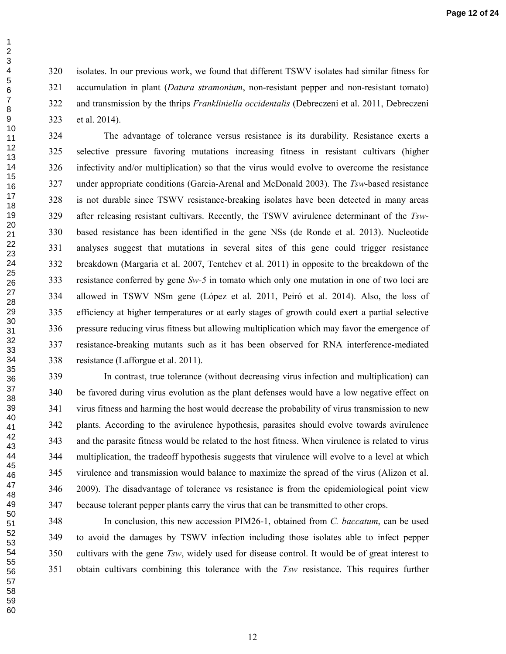320 isolates. In our previous work, we found that different TSWV isolates had similar fitness for 321 accumulation in plant (*Datura stramonium*, non-resistant pepper and non-resistant tomato) 322 and transmission by the thrips *Frankliniella occidentalis* (Debreczeni et al. 2011, Debreczeni 323 et al. 2014).

324 The advantage of tolerance versus resistance is its durability. Resistance exerts a 325 selective pressure favoring mutations increasing fitness in resistant cultivars (higher 326 infectivity and/or multiplication) so that the virus would evolve to overcome the resistance 327 under appropriate conditions (Garcia-Arenal and McDonald 2003). The *Tsw*-based resistance 328 is not durable since TSWV resistance-breaking isolates have been detected in many areas 329 after releasing resistant cultivars. Recently, the TSWV avirulence determinant of the *Tsw*-330 based resistance has been identified in the gene NSs (de Ronde et al. 2013). Nucleotide 331 analyses suggest that mutations in several sites of this gene could trigger resistance 332 breakdown (Margaria et al. 2007, Tentchev et al. 2011) in opposite to the breakdown of the 333 resistance conferred by gene *Sw-5* in tomato which only one mutation in one of two loci are 334 allowed in TSWV NSm gene (López et al. 2011, Peiró et al. 2014). Also, the loss of 335 efficiency at higher temperatures or at early stages of growth could exert a partial selective 336 pressure reducing virus fitness but allowing multiplication which may favor the emergence of 337 resistance-breaking mutants such as it has been observed for RNA interference-mediated 338 resistance (Lafforgue et al. 2011).

339 In contrast, true tolerance (without decreasing virus infection and multiplication) can 340 be favored during virus evolution as the plant defenses would have a low negative effect on 341 virus fitness and harming the host would decrease the probability of virus transmission to new 342 plants. According to the avirulence hypothesis, parasites should evolve towards avirulence 343 and the parasite fitness would be related to the host fitness. When virulence is related to virus 344 multiplication, the tradeoff hypothesis suggests that virulence will evolve to a level at which 345 virulence and transmission would balance to maximize the spread of the virus (Alizon et al. 346 2009). The disadvantage of tolerance vs resistance is from the epidemiological point view 347 because tolerant pepper plants carry the virus that can be transmitted to other crops.

348 In conclusion, this new accession PIM26-1, obtained from *C. baccatum*, can be used 349 to avoid the damages by TSWV infection including those isolates able to infect pepper 350 cultivars with the gene *Tsw*, widely used for disease control. It would be of great interest to 351 obtain cultivars combining this tolerance with the *Tsw* resistance. This requires further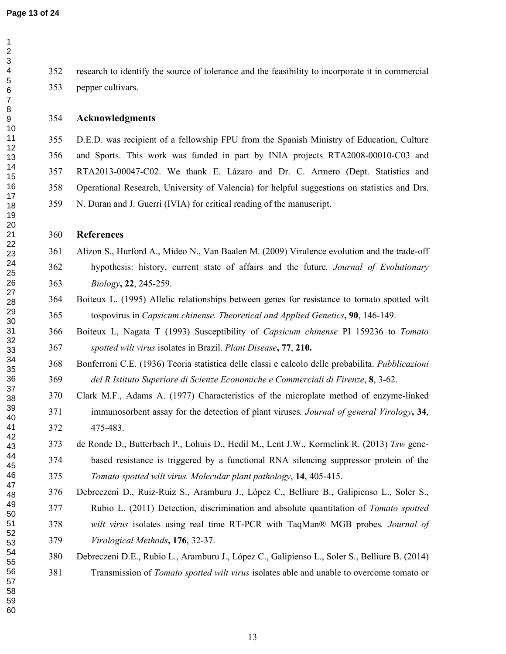352 research to identify the source of tolerance and the feasibility to incorporate it in commercial 353 pepper cultivars.

#### **Acknowledgments**

355 D.E.D. was recipient of a fellowship FPU from the Spanish Ministry of Education, Culture 356 and Sports. This work was funded in part by INIA projects RTA2008-00010-C03 and 357 RTA2013-00047-C02. We thank E. Lázaro and Dr. C. Armero (Dept. Statistics and 358 Operational Research, University of Valencia) for helpful suggestions on statistics and Drs. 359 N. Duran and J. Guerri (IVIA) for critical reading of the manuscript.

#### **References**

# 361 Alizon S., Hurford A., Mideo N., Van Baalen M. (2009) Virulence evolution and the trade-off 362 hypothesis: history, current state of affairs and the future*. Journal of Evolutionary Biology***, 22**, 245-259.

- 364 Boiteux L. (1995) Allelic relationships between genes for resistance to tomato spotted wilt 365 tospovirus in *Capsicum chinense. Theoretical and Applied Genetics***, 90**, 146-149.
- 366 Boiteux L, Nagata T (1993) Susceptibility of *Capsicum chinense* PI 159236 to *Tomato spotted wilt virus* isolates in Brazil. *Plant Disease***, 77**, **210.**
- 368 Bonferroni C.E. (1936) Teoria statistica delle classi e calcolo delle probabilita. *Pubblicazioni del R Istituto Superiore di Scienze Economiche e Commerciali di Firenze*, **8**, 3-62.
- 370 Clark M.F., Adams A. (1977) Characteristics of the microplate method of enzyme-linked 371 immunosorbent assay for the detection of plant viruses*. Journal of general Virology***, 34**, 372 475-483.
	- 373 de Ronde D., Butterbach P., Lohuis D., Hedil M., Lent J.W., Kormelink R. (2013) *Tsw* gene-374 based resistance is triggered by a functional RNA silencing suppressor protein of the *Tomato spotted wilt virus. Molecular plant pathology*, **14**, 405-415.
	- 376 Debreczeni D., Ruiz-Ruiz S., Aramburu J., López C., Belliure B., Galipienso L., Soler S., 377 Rubio L. (2011) Detection, discrimination and absolute quantitation of *Tomato spotted wilt virus* isolates using real time RT-PCR with TaqMan® MGB probes*. Journal of Virological Methods***, 176**, 32-37.
	- 380 Debreczeni D.E., Rubio L., Aramburu J., López C., Galipienso L., Soler S., Belliure B. (2014) 381 Transmission of *Tomato spotted wilt virus* isolates able and unable to overcome tomato or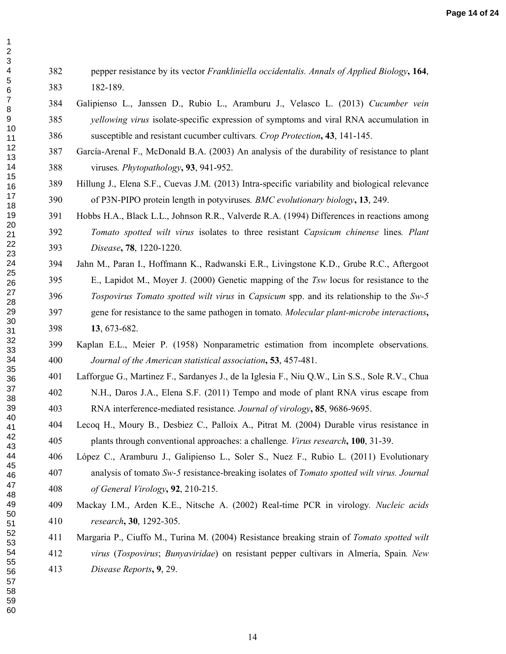## 382 pepper resistance by its vector *Frankliniella occidentalis. Annals of Applied Biology***, 164**, 383 182-189.

- 384 Galipienso L., Janssen D., Rubio L., Aramburu J., Velasco L. (2013) *Cucumber vein yellowing virus* isolate-specific expression of symptoms and viral RNA accumulation in 386 susceptible and resistant cucumber cultivars*. Crop Protection***, 43**, 141-145.
- 387 García-Arenal F., McDonald B.A. (2003) An analysis of the durability of resistance to plant 388 viruses*. Phytopathology***, 93**, 941-952.
- 389 Hillung J., Elena S.F., Cuevas J.M. (2013) Intra-specific variability and biological relevance 390 of P3N-PIPO protein length in potyviruses*. BMC evolutionary biology***, 13**, 249.
- 391 Hobbs H.A., Black L.L., Johnson R.R., Valverde R.A. (1994) Differences in reactions among *Tomato spotted wilt virus* isolates to three resistant *Capsicum chinense* lines*. Plant Disease***, 78**, 1220-1220.
- rotein length in potyviruses. *BMC evolutionary biology*,<br>
L.L., Johnson R.R., Valverde R.A. (1994) Differences<br> *I wilt virus* isolates to three resistant *Capsicum ch*.<br>
20-1220.<br>
Hoffmann K., Radwanski E.R., Livingstone 394 Jahn M., Paran I., Hoffmann K., Radwanski E.R., Livingstone K.D., Grube R.C., Aftergoot 395 E., Lapidot M., Moyer J. (2000) Genetic mapping of the *Tsw* locus for resistance to the *Tospovirus Tomato spotted wilt virus* in *Capsicum* spp. and its relationship to the *Sw-5* 397 gene for resistance to the same pathogen in tomato*. Molecular plant-microbe interactions***, 13**, 673-682.
	- 399 Kaplan E.L., Meier P. (1958) Nonparametric estimation from incomplete observations*. Journal of the American statistical association***, 53**, 457-481.
- 401 Lafforgue G., Martinez F., Sardanyes J., de la Iglesia F., Niu Q.W., Lin S.S., Sole R.V., Chua 402 N.H., Daros J.A., Elena S.F. (2011) Tempo and mode of plant RNA virus escape from 403 RNA interference-mediated resistance*. Journal of virology***, 85**, 9686-9695.
- 404 Lecoq H., Moury B., Desbiez C., Palloix A., Pitrat M. (2004) Durable virus resistance in 405 plants through conventional approaches: a challenge*. Virus research***, 100**, 31-39.
	- 406 López C., Aramburu J., Galipienso L., Soler S., Nuez F., Rubio L. (2011) Evolutionary 407 analysis of tomato *Sw-5* resistance-breaking isolates of *Tomato spotted wilt virus. Journal of General Virology***, 92**, 210-215.
	- 409 Mackay I.M., Arden K.E., Nitsche A. (2002) Real-time PCR in virology*. Nucleic acids research***, 30**, 1292-305.
	- 411 Margaria P., Ciuffo M., Turina M. (2004) Resistance breaking strain of *Tomato spotted wilt virus* (*Tospovirus*; *Bunyaviridae*) on resistant pepper cultivars in Almería, Spain*. New Disease Reports***, 9**, 29.
-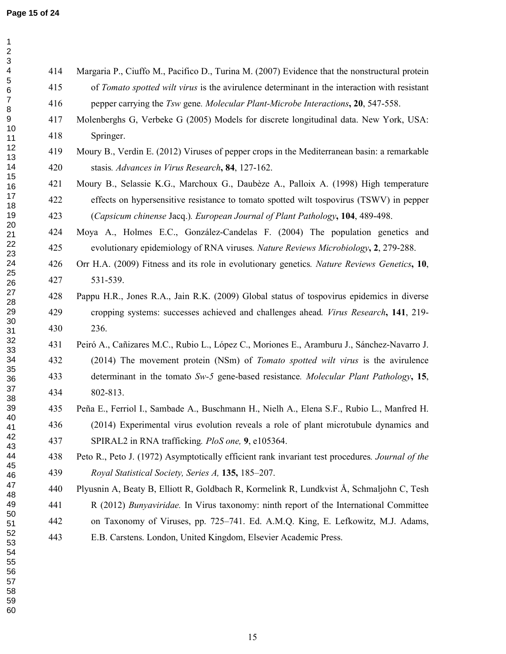$\mathbf{1}$ 

| $\ensuremath{\mathsf{3}}$<br>$\overline{\mathbf{4}}$<br>414<br>Margaria P., Ciuffo M., Pacifico D., Turina M. (2007) Evidence that the nonstructural protein<br>$\sqrt{5}$<br>415<br>of Tomato spotted wilt virus is the avirulence determinant in the interaction with resistant<br>$\,6$<br>$\boldsymbol{7}$<br>416<br>pepper carrying the Tsw gene. Molecular Plant-Microbe Interactions, 20, 547-558.<br>8<br>9<br>417<br>Molenberghs G, Verbeke G (2005) Models for discrete longitudinal data. New York, USA:<br>10<br>418<br>Springer.<br>11 |  |
|-----------------------------------------------------------------------------------------------------------------------------------------------------------------------------------------------------------------------------------------------------------------------------------------------------------------------------------------------------------------------------------------------------------------------------------------------------------------------------------------------------------------------------------------------------|--|
|                                                                                                                                                                                                                                                                                                                                                                                                                                                                                                                                                     |  |
|                                                                                                                                                                                                                                                                                                                                                                                                                                                                                                                                                     |  |
|                                                                                                                                                                                                                                                                                                                                                                                                                                                                                                                                                     |  |
|                                                                                                                                                                                                                                                                                                                                                                                                                                                                                                                                                     |  |
|                                                                                                                                                                                                                                                                                                                                                                                                                                                                                                                                                     |  |
| 12<br>419<br>Moury B., Verdin E. (2012) Viruses of pepper crops in the Mediterranean basin: a remarkable<br>13                                                                                                                                                                                                                                                                                                                                                                                                                                      |  |
| 14<br>420<br>stasis. Advances in Virus Research, 84, 127-162.                                                                                                                                                                                                                                                                                                                                                                                                                                                                                       |  |
| 15<br>421<br>Moury B., Selassie K.G., Marchoux G., Daubèze A., Palloix A. (1998) High temperature<br>16                                                                                                                                                                                                                                                                                                                                                                                                                                             |  |
| 17<br>422<br>effects on hypersensitive resistance to tomato spotted wilt tospovirus (TSWV) in pepper<br>18                                                                                                                                                                                                                                                                                                                                                                                                                                          |  |
| 19<br>423<br>(Capsicum chinense Jacq.). European Journal of Plant Pathology, 104, 489-498.                                                                                                                                                                                                                                                                                                                                                                                                                                                          |  |
| 20<br>424<br>Moya A., Holmes E.C., González-Candelas F. (2004) The population genetics and<br>21                                                                                                                                                                                                                                                                                                                                                                                                                                                    |  |
| 22<br>425<br>evolutionary epidemiology of RNA viruses. Nature Reviews Microbiology, 2, 279-288.<br>23                                                                                                                                                                                                                                                                                                                                                                                                                                               |  |
| 24<br>426<br>Orr H.A. (2009) Fitness and its role in evolutionary genetics. Nature Reviews Genetics, 10,                                                                                                                                                                                                                                                                                                                                                                                                                                            |  |
| 25<br>531-539.<br>427<br>26                                                                                                                                                                                                                                                                                                                                                                                                                                                                                                                         |  |
| 27<br>428<br>Pappu H.R., Jones R.A., Jain R.K. (2009) Global status of tospovirus epidemics in diverse<br>28                                                                                                                                                                                                                                                                                                                                                                                                                                        |  |
| 29<br>429<br>cropping systems: successes achieved and challenges ahead. Virus Research, 141, 219-                                                                                                                                                                                                                                                                                                                                                                                                                                                   |  |
| 30<br>236.<br>430<br>31                                                                                                                                                                                                                                                                                                                                                                                                                                                                                                                             |  |
| 32<br>Peiró A., Cañizares M.C., Rubio L., López C., Moriones E., Aramburu J., Sánchez-Navarro J.<br>431<br>33                                                                                                                                                                                                                                                                                                                                                                                                                                       |  |
| 34<br>432<br>(2014) The movement protein (NSm) of <i>Tomato spotted wilt virus</i> is the avirulence                                                                                                                                                                                                                                                                                                                                                                                                                                                |  |
| 35<br>433<br>determinant in the tomato Sw-5 gene-based resistance. Molecular Plant Pathology, 15,<br>36                                                                                                                                                                                                                                                                                                                                                                                                                                             |  |
| 37<br>434<br>802-813.<br>38                                                                                                                                                                                                                                                                                                                                                                                                                                                                                                                         |  |
| 39<br>435<br>Peña E., Ferriol I., Sambade A., Buschmann H., Nielh A., Elena S.F., Rubio L., Manfred H.                                                                                                                                                                                                                                                                                                                                                                                                                                              |  |
| 40<br>(2014) Experimental virus evolution reveals a role of plant microtubule dynamics and<br>436<br>41                                                                                                                                                                                                                                                                                                                                                                                                                                             |  |
| 42<br>SPIRAL2 in RNA trafficking. PloS one, 9, e105364.<br>437<br>43                                                                                                                                                                                                                                                                                                                                                                                                                                                                                |  |
| 44<br>438<br>Peto R., Peto J. (1972) Asymptotically efficient rank invariant test procedures. Journal of the                                                                                                                                                                                                                                                                                                                                                                                                                                        |  |
| 45<br>439<br>Royal Statistical Society, Series A, 135, 185–207.<br>46                                                                                                                                                                                                                                                                                                                                                                                                                                                                               |  |
| 47<br>Plyusnin A, Beaty B, Elliott R, Goldbach R, Kormelink R, Lundkvist Å, Schmaljohn C, Tesh<br>440<br>48                                                                                                                                                                                                                                                                                                                                                                                                                                         |  |
| 49<br>R (2012) Bunyaviridae. In Virus taxonomy: ninth report of the International Committee<br>441                                                                                                                                                                                                                                                                                                                                                                                                                                                  |  |
| 50<br>442<br>on Taxonomy of Viruses, pp. 725–741. Ed. A.M.Q. King, E. Lefkowitz, M.J. Adams,<br>51                                                                                                                                                                                                                                                                                                                                                                                                                                                  |  |
| 52<br>443<br>E.B. Carstens. London, United Kingdom, Elsevier Academic Press.<br>53                                                                                                                                                                                                                                                                                                                                                                                                                                                                  |  |
| 54<br>55                                                                                                                                                                                                                                                                                                                                                                                                                                                                                                                                            |  |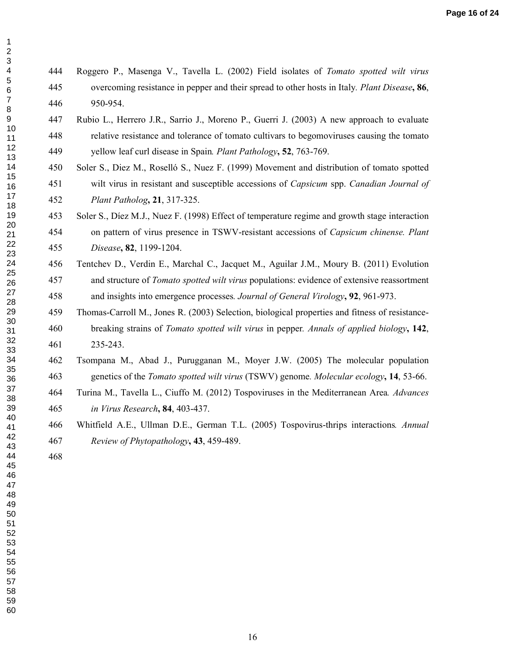# 444 Roggero P., Masenga V., Tavella L. (2002) Field isolates of *Tomato spotted wilt virus* 445 overcoming resistance in pepper and their spread to other hosts in Italy*. Plant Disease***, 86**, 446 950-954.

- 447 Rubio L., Herrero J.R., Sarrio J., Moreno P., Guerri J. (2003) A new approach to evaluate 448 relative resistance and tolerance of tomato cultivars to begomoviruses causing the tomato 449 yellow leaf curl disease in Spain*. Plant Pathology***, 52**, 763-769.
- 450 Soler S., Diez M., Roselló S., Nuez F. (1999) Movement and distribution of tomato spotted 451 wilt virus in resistant and susceptible accessions of *Capsicum* spp. *Canadian Journal of Plant Patholog***, 21**, 317-325.
- **21**, 317-325.<br>
Nuez F. (1998) Effect of temperature regime and grow<br>
irus presence in TSWV-resistant accessions of *Capsic*<br>
99-1204.<br>
in E., Marchal C., Jacquet M., Aguilar J.M., Moury E<br> *Tomato spotted wilt virus* popu 453 Soler S., Díez M.J., Nuez F. (1998) Effect of temperature regime and growth stage interaction 454 on pattern of virus presence in TSWV-resistant accessions of *Capsicum chinense. Plant Disease***, 82**, 1199-1204.
	- 456 Tentchev D., Verdin E., Marchal C., Jacquet M., Aguilar J.M., Moury B. (2011) Evolution 457 and structure of *Tomato spotted wilt virus* populations: evidence of extensive reassortment 458 and insights into emergence processes*. Journal of General Virology***, 92**, 961-973.
- 459 Thomas-Carroll M., Jones R. (2003) Selection, biological properties and fitness of resistance-460 breaking strains of *Tomato spotted wilt virus* in pepper*. Annals of applied biology***, 142**, 461 235-243.
	- 462 Tsompana M., Abad J., Purugganan M., Moyer J.W. (2005) The molecular population 463 genetics of the *Tomato spotted wilt virus* (TSWV) genome*. Molecular ecology***, 14**, 53-66.
- 464 Turina M., Tavella L., Ciuffo M. (2012) Tospoviruses in the Mediterranean Area*. Advances in Virus Research***, 84**, 403-437.
	- 466 Whitfield A.E., Ullman D.E., German T.L. (2005) Tospovirus-thrips interactions*. Annual Review of Phytopathology***, 43**, 459-489.
- 
-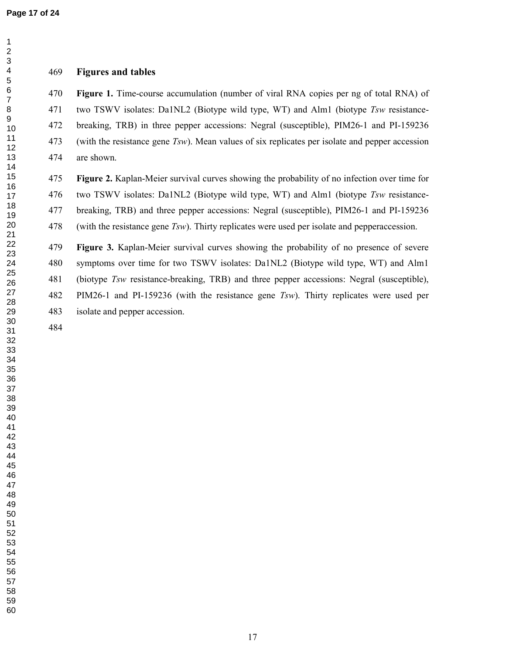### **Figures and tables**

**Figure 1.** Time-course accumulation (number of viral RNA copies per ng of total RNA) of 471 two TSWV isolates: Da1NL2 (Biotype wild type, WT) and Alm1 (biotype *Tsw* resistance-472 breaking, TRB) in three pepper accessions: Negral (susceptible), PIM26-1 and PI-159236 473 (with the resistance gene *Tsw*). Mean values of six replicates per isolate and pepper accession 474 are shown.

**Figure 2.** Kaplan-Meier survival curves showing the probability of no infection over time for 476 two TSWV isolates: Da1NL2 (Biotype wild type, WT) and Alm1 (biotype *Tsw* resistance-477 breaking, TRB) and three pepper accessions: Negral (susceptible), PIM26-1 and PI-159236 478 (with the resistance gene *Tsw*). Thirty replicates were used per isolate and pepperaccession.

**Figure 3.** Kaplan-Meier survival curves showing the probability of no presence of severe 480 symptoms over time for two TSWV isolates: Da1NL2 (Biotype wild type, WT) and Alm1 481 (biotype *Tsw* resistance-breaking, TRB) and three pepper accessions: Negral (susceptible), 482 PIM26-1 and PI-159236 (with the resistance gene *Tsw*). Thirty replicates were used per 483 isolate and pepper accession.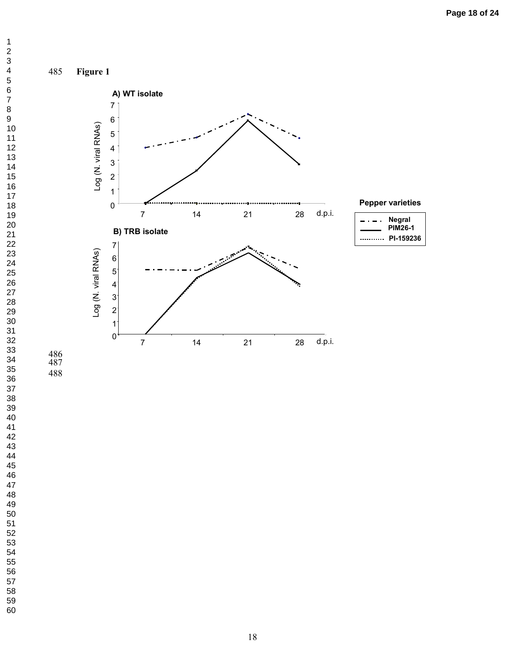**Negral PIM26-1 PI-159236**

**Pepper varieties**



 $\ddot{\phantom{0}}$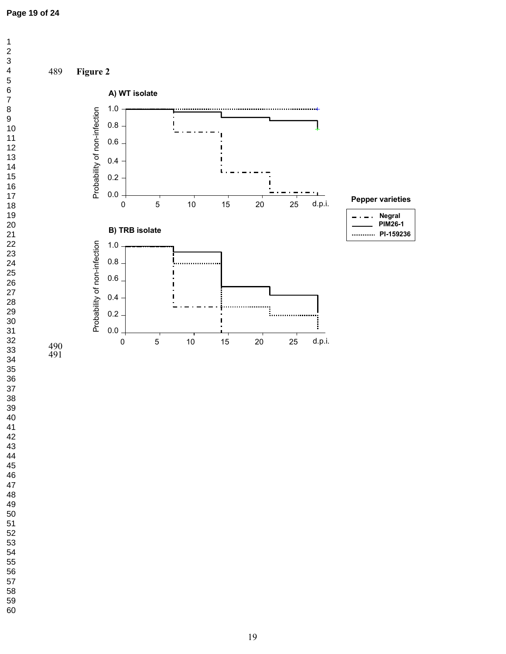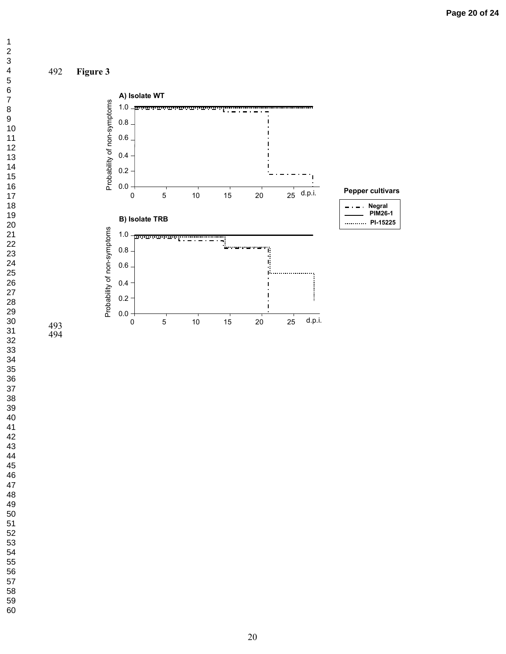

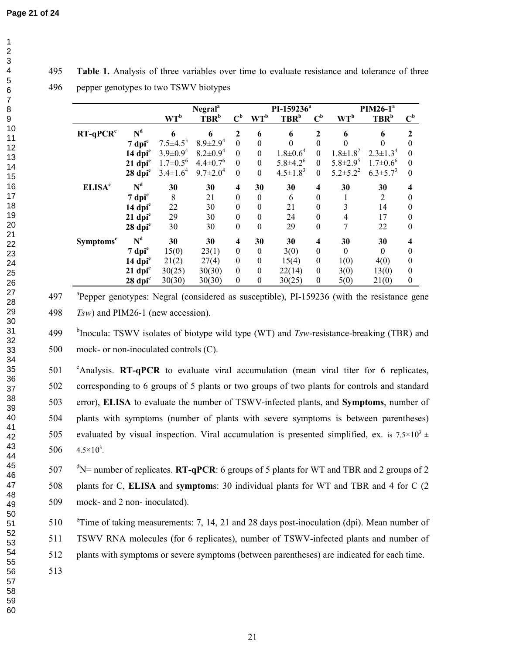1 2 3 4 5 6 7 8 9 10 11 12 13 14 15 16 17 18 19 20 21 22 23 24 25 26 27 28 29 30 31 32 33 34 35 36 37 38 39 40 41 42 43 44 45 46 47 48 49 50

495 **Table 1.** Analysis of three variables over time to evaluate resistance and tolerance of three 496 pepper genotypes to two TSWV biotypes

|                             |                       | Negral <sup>a</sup> |                            |                           | PI-159236 <sup>ª</sup> |                                               |                           | $PIM26-1a$      |                            |                           |
|-----------------------------|-----------------------|---------------------|----------------------------|---------------------------|------------------------|-----------------------------------------------|---------------------------|-----------------|----------------------------|---------------------------|
|                             |                       | $WT^b$              | TBR <sup>b</sup>           | $\mathbf{C}^{\mathbf{b}}$ | $WT^b$                 | $\mathbf{T}\mathbf{B}\mathbf{R}^{\mathrm{b}}$ | $\mathbf{C}^{\mathbf{b}}$ | $WT^b$          | TBR <sup>b</sup>           | $\mathbf{C}^{\mathbf{b}}$ |
| $RT-qPCRc$                  | $N^d$                 | 6                   | 6                          | $\boldsymbol{2}$          | 6                      | 6                                             | $\boldsymbol{2}$          | 6               | 6                          | 2                         |
|                             | $7$ dpi $^e$          | $7.5 \pm 4.5^3$     | $8.9 \pm 2.9^4$            | $\mathbf{0}$              | $\boldsymbol{0}$       | $\theta$                                      | $\theta$                  |                 |                            | $\theta$                  |
|                             | $14$ dpi $^e$         | $3.9 \pm 0.9^4$     | $8.2 \pm 0.9^4$            | $\boldsymbol{0}$          | $\boldsymbol{0}$       | $1.8 \pm 0.6^4$                               | $\theta$                  | $1.8 \pm 1.8^2$ | $2.3 \pm 1.3^4$            | $\Omega$                  |
|                             | $21$ dpi $^e$         | $1.7 \pm 0.5^6$     | $4.4 \pm 0.7$ <sup>6</sup> | $\boldsymbol{0}$          | $\boldsymbol{0}$       | $5.8 \pm 4.2^6$                               | $\boldsymbol{0}$          | $5.8 \pm 2.9^5$ | $1.7 \pm 0.6$ <sup>6</sup> | $\theta$                  |
|                             | 28 dpi <sup>e</sup>   | $3.4 \pm 1.6^4$     | $9.7 \pm 2.0^4$            | $\boldsymbol{0}$          | $\boldsymbol{0}$       | $4.5 \pm 1.8^3$                               | $\boldsymbol{0}$          | $5.2 \pm 5.2^2$ | $6.3 \pm 5.7^3$            | $\theta$                  |
| <b>ELISA<sup>c</sup></b>    | $N^d$                 | 30                  | 30                         | 4                         | 30                     | 30                                            | $\overline{\mathbf{4}}$   | 30              | 30                         | 4                         |
|                             | $7$ dpi $^{\rm e}$    | 8                   | 21                         | $\boldsymbol{0}$          | $\mathbf{0}$           | 6                                             | $\boldsymbol{0}$          | 1               | 2                          | $\theta$                  |
|                             | $14$ dpi $^e$         | 22                  | 30                         | $\boldsymbol{0}$          | $\boldsymbol{0}$       | 21                                            | $\boldsymbol{0}$          | 3               | 14                         | $\theta$                  |
|                             | $21$ dpi $^e$         | 29                  | 30                         | $\boldsymbol{0}$          | $\boldsymbol{0}$       | 24                                            | $\theta$                  | $\overline{4}$  | 17                         | $\theta$                  |
|                             | 28 dpi <sup>e</sup>   | 30                  | 30                         | $\boldsymbol{0}$          | $\boldsymbol{0}$       | 29                                            | $\boldsymbol{0}$          | 7               | 22                         | $\theta$                  |
| <b>Symptoms<sup>c</sup></b> | $N^d$                 | 30                  | 30                         | 4                         | 30                     | 30                                            | 4                         | 30              | 30                         | 4                         |
|                             | $7$ dpi $^e$          | 15(0)               | 23(1)                      | $\boldsymbol{0}$          | $\boldsymbol{0}$       | 3(0)                                          | $\theta$                  | $\theta$        | $\Omega$                   | $\Omega$                  |
|                             | $14$ dpi <sup>e</sup> | 21(2)               | 27(4)                      | $\boldsymbol{0}$          | $\boldsymbol{0}$       | 15(4)                                         | $\boldsymbol{0}$          | 1(0)            | 4(0)                       | $\theta$                  |
|                             | $21$ dpi $^e$         | 30(25)              | 30(30)                     | $\boldsymbol{0}$          | $\boldsymbol{0}$       | 22(14)                                        | $\boldsymbol{0}$          | 3(0)            | 13(0)                      | $\theta$                  |
|                             | $28$ dpi $^e$         | 30(30)              | 30(30)                     | $\boldsymbol{0}$          | $\boldsymbol{0}$       | 30(25)                                        | $\theta$                  | 5(0)            | 21(0)                      | $\theta$                  |

497 <sup>a</sup> Pepper genotypes: Negral (considered as susceptible), PI-159236 (with the resistance gene 498 *Tsw*) and PIM26-1 (new accession).

<sup>b</sup>Inocula: TSWV isolates of biotype wild type (WT) and *Tsw*-resistance-breaking (TBR) and 500 mock- or non-inoculated controls (C).

501 <sup>c</sup>Analysis. **RT-qPCR** to evaluate viral accumulation (mean viral titer for 6 replicates, 502 corresponding to 6 groups of 5 plants or two groups of two plants for controls and standard 503 error), **ELISA** to evaluate the number of TSWV-infected plants, and **Symptoms**, number of 504 plants with symptoms (number of plants with severe symptoms is between parentheses) 505 evaluated by visual inspection. Viral accumulation is presented simplified, ex. is  $7.5 \times 10^{3} \pm$ 506  $4.5 \times 10^3$ .

507  $\text{d}N$  = number of replicates. **RT-qPCR**: 6 groups of 5 plants for WT and TBR and 2 groups of 2 508 plants for C, **ELISA** and **symptom**s: 30 individual plants for WT and TBR and 4 for C (2 509 mock- and 2 non- inoculated).

510 <sup>e</sup> Time of taking measurements: 7, 14, 21 and 28 days post-inoculation (dpi). Mean number of

511 TSWV RNA molecules (for 6 replicates), number of TSWV-infected plants and number of

512 plants with symptoms or severe symptoms (between parentheses) are indicated for each time.

513

58 59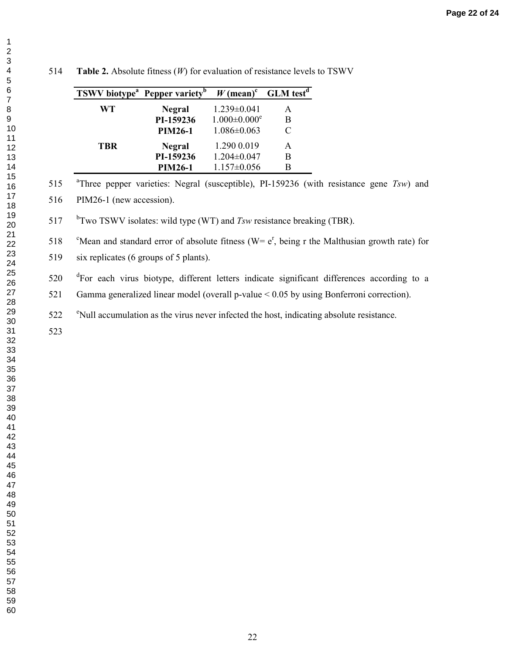| <b>TSWV</b> biotype <sup>a</sup> Pepper variety <sup>b</sup> |                | $W$ (mean) <sup>c</sup>        | <b>GLM</b> test <sup>d</sup> |
|--------------------------------------------------------------|----------------|--------------------------------|------------------------------|
| WT                                                           | <b>Negral</b>  | $1.239 \pm 0.041$              | А                            |
|                                                              | PI-159236      | $1.000 \pm 0.000$ <sup>e</sup> | В                            |
|                                                              | <b>PIM26-1</b> | $1.086 \pm 0.063$              | $\subset$                    |
| TBR                                                          | <b>Negral</b>  | 1.290 0.019                    | А                            |
|                                                              | PI-159236      | $1.204 \pm 0.047$              | В                            |
|                                                              | <b>PIM26-1</b> | $1.157 \pm 0.056$              | В                            |

**Table 2.** Absolute fitness (*W*) for evaluation of resistance levels to TSWV

515 <sup>a</sup>Three pepper varieties: Negral (susceptible), PI-159236 (with resistance gene *Tsw*) and

516 PIM26-1 (new accession).

517 b<sup>b</sup>Two TSWV isolates: wild type (WT) and *Tsw* resistance breaking (TBR).

518 °Mean and standard error of absolute fitness (W=  $e^r$ , being r the Malthusian growth rate) for

519 six replicates (6 groups of 5 plants).

520 <sup>d</sup>For each virus biotype, different letters indicate significant differences according to a

521 Gamma generalized linear model (overall p-value < 0.05 by using Bonferroni correction).

<sup>e</sup> Null accumulation as the virus never infected the host, indicating absolute resistance.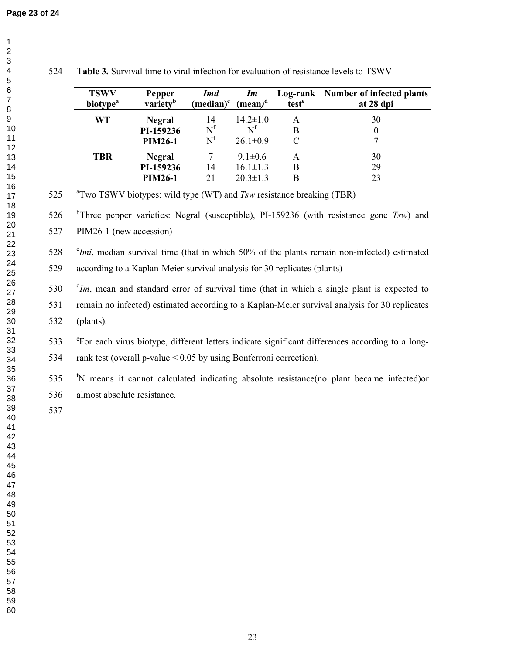| <b>TSWV</b><br><b>biotype</b> <sup>a</sup> | <b>Pepper</b><br>variety <sup>b</sup> | <b>Imd</b><br>$(median)^c$ | Im<br>(mean) <sup>d</sup> | Log-rank<br>test <sup>e</sup> | Number of infected plants<br>at 28 dpi |
|--------------------------------------------|---------------------------------------|----------------------------|---------------------------|-------------------------------|----------------------------------------|
| WT                                         | <b>Negral</b>                         | 14                         | $14.2 \pm 1.0$            | A                             | 30                                     |
|                                            | PI-159236                             | $N^{f}$                    | $\mathrm{N}^{\mathrm{f}}$ | B                             | 0                                      |
|                                            | <b>PIM26-1</b>                        | $N^{f}$                    | $26.1 \pm 0.9$            |                               |                                        |
| <b>TBR</b>                                 | <b>Negral</b>                         |                            | $9.1 \pm 0.6$             | A                             | 30                                     |
|                                            | PI-159236                             | 14                         | $16.1 \pm 1.3$            | B                             | 29                                     |
|                                            | <b>PIM26-1</b>                        | 21                         | $20.3 \pm 1.3$            | B                             | 23                                     |

**Table 3.** Survival time to viral infection for evaluation of resistance levels to TSWV

525 <sup>a</sup>Two TSWV biotypes: wild type (WT) and *Tsw* resistance breaking (TBR)

526 <sup>b</sup>Three pepper varieties: Negral (susceptible), PI-159236 (with resistance gene *Tsw*) and

527 PIM26-1 (new accession)

528 *<sup>c</sup>Imi*, median survival time (that in which 50% of the plants remain non-infected) estimated 529 according to a Kaplan-Meier survival analysis for 30 replicates (plants)

  $\frac{d}{m}$ , mean and standard error of survival time (that in which a single plant is expected to 531 remain no infected) estimated according to a Kaplan-Meier survival analysis for 30 replicates 532 (plants).

533 <sup>e</sup>For each virus biotype, different letters indicate significant differences according to a long-534 rank test (overall p-value < 0.05 by using Bonferroni correction).

535 <sup>f</sup>N means it cannot calculated indicating absolute resistance(no plant became infected)or 536 almost absolute resistance.